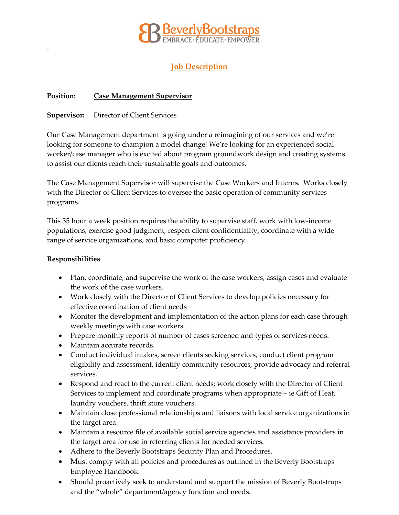

# **Job Description**

## **Position: Case Management Supervisor**

**Supervisor:** Director of Client Services

Our Case Management department is going under a reimagining of our services and we're looking for someone to champion a model change! We're looking for an experienced social worker/case manager who is excited about program groundwork design and creating systems to assist our clients reach their sustainable goals and outcomes.

The Case Management Supervisor will supervise the Case Workers and Interns. Works closely with the Director of Client Services to oversee the basic operation of community services programs.

This 35 hour a week position requires the ability to supervise staff, work with low-income populations, exercise good judgment, respect client confidentiality, coordinate with a wide range of service organizations, and basic computer proficiency.

## **Responsibilities**

.

- Plan, coordinate, and supervise the work of the case workers; assign cases and evaluate the work of the case workers.
- Work closely with the Director of Client Services to develop policies necessary for effective coordination of client needs
- Monitor the development and implementation of the action plans for each case through weekly meetings with case workers.
- Prepare monthly reports of number of cases screened and types of services needs.
- Maintain accurate records.
- Conduct individual intakes, screen clients seeking services, conduct client program eligibility and assessment, identify community resources, provide advocacy and referral services.
- Respond and react to the current client needs; work closely with the Director of Client Services to implement and coordinate programs when appropriate – ie Gift of Heat, laundry vouchers, thrift store vouchers.
- Maintain close professional relationships and liaisons with local service organizations in the target area.
- Maintain a resource file of available social service agencies and assistance providers in the target area for use in referring clients for needed services.
- Adhere to the Beverly Bootstraps Security Plan and Procedures.
- Must comply with all policies and procedures as outlined in the Beverly Bootstraps Employee Handbook.
- Should proactively seek to understand and support the mission of Beverly Bootstraps and the "whole" department/agency function and needs.